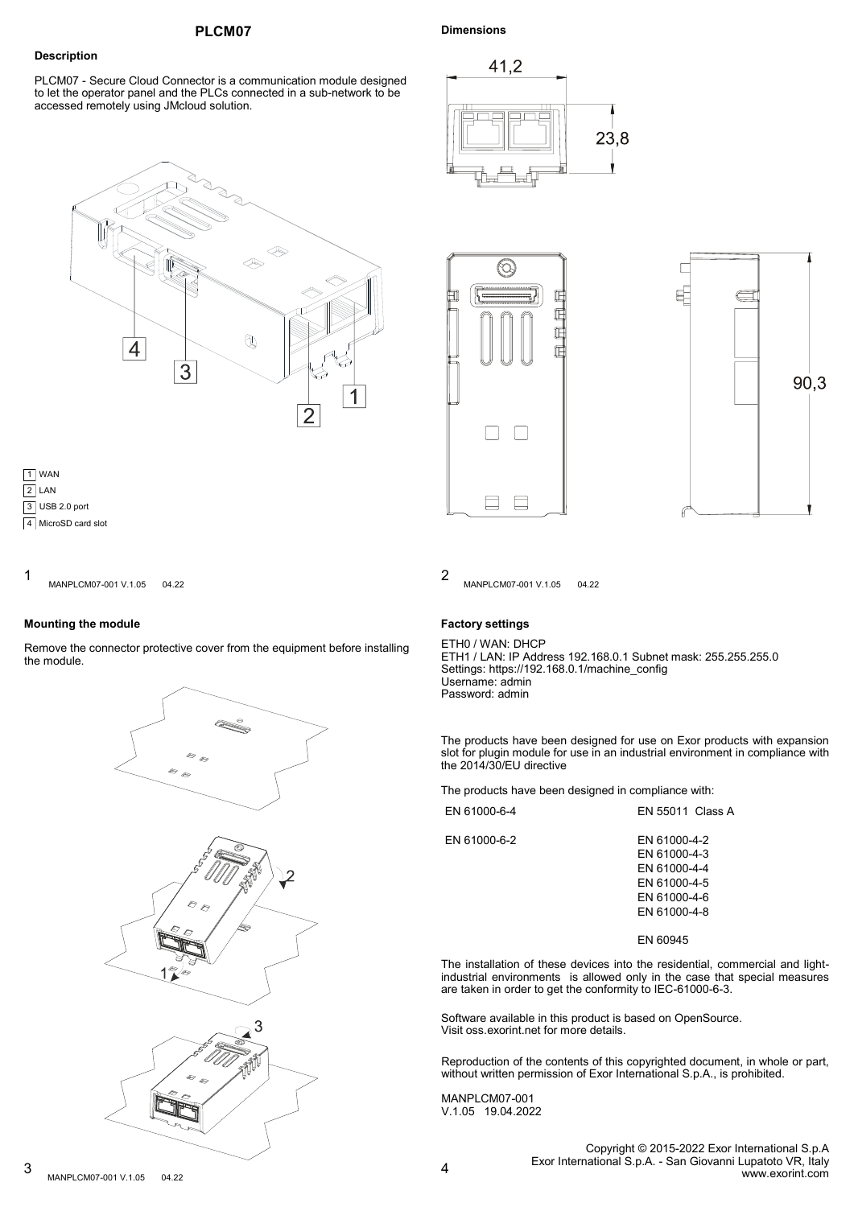## **PLCM07**

# **Dimensions**

# **Description**

PLCM07 - Secure Cloud Connector is a communication module designed to let the operator panel and the PLCs connected in a sub-network to be accessed remotely using JMcloud solution.





 $1$   $\ldots$   $\ldots$   $\ldots$   $\ldots$   $\ldots$   $\ldots$   $\ldots$   $\ldots$   $\ldots$   $\ldots$   $\ldots$   $\ldots$   $\ldots$   $\ldots$   $\ldots$   $\ldots$ MANPLCM07-001 V.1.05 04.22

#### **Mounting the module**

Remove the connector protective cover from the equipment before installing the module.









MANPLCM07-001 V.1.05 04.22

## **Factory settings**

ETH0 / WAN: DHCP ETH1 / LAN: IP Address 192.168.0.1 Subnet mask: 255.255.255.0 Settings: https://192.168.0.1/machine\_config Username: admin Password: admin

The products have been designed for use on Exor products with expansion slot for plugin module for use in an industrial environment in compliance with the 2014/30/EU directive

The products have been designed in compliance with:

| EN 61000-6-4 | <b>FN 55011 Class A</b>                                                                      |
|--------------|----------------------------------------------------------------------------------------------|
| EN 61000-6-2 | EN 61000-4-2<br>EN 61000-4-3<br>FN 61000-4-4<br>EN 61000-4-5<br>EN 61000-4-6<br>FN 61000-4-8 |

EN 60945

The installation of these devices into the residential, commercial and lightindustrial environments is allowed only in the case that special measures are taken in order to get the conformity to IEC-61000-6-3.

Software available in this product is based on OpenSource. Visit oss.exorint.net for more details.

Reproduction of the contents of this copyrighted document, in whole or part, without written permission of Exor International S.p.A., is prohibited.

MANPLCM07-001 V.1.05 19.04.2022

> Copyright © 2015-2022 Exor International S.p.A Exor International S.p.A. - San Giovanni Lupatoto VR, Italy www.exorint.com